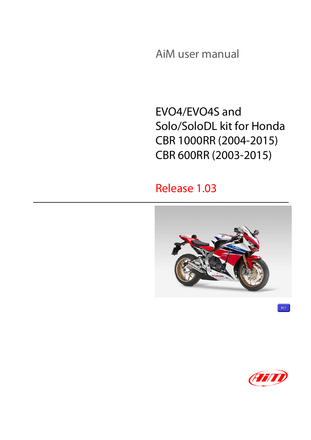AiM user manual

EVO4/EVO4S and Solo/SoloDL kit for Honda CBR 1000RR (2004-2015) CBR 600RR (2003-2015)

### Release 1.03



977

 $KT$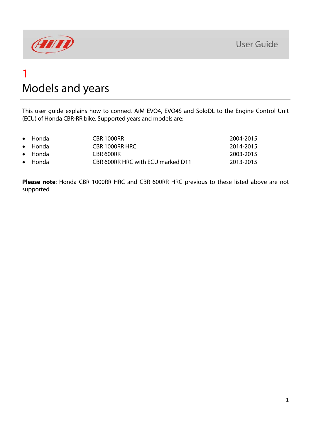

### 1 Models and years

This user guide explains how to connect AiM EVO4, EVO4S and SoloDL to the Engine Control Unit (ECU) of Honda CBR-RR bike. Supported years and models are:

| $\bullet$ Honda | CBR 1000RR                        | 2004-2015 |
|-----------------|-----------------------------------|-----------|
| $\bullet$ Honda | CBR 1000RR HRC                    | 2014-2015 |
| $\bullet$ Honda | CBR 600RR                         | 2003-2015 |
| $\bullet$ Honda | CBR 600RR HRC with ECU marked D11 | 2013-2015 |
|                 |                                   |           |

**Please note**: Honda CBR 1000RR HRC and CBR 600RR HRC previous to these listed above are not supported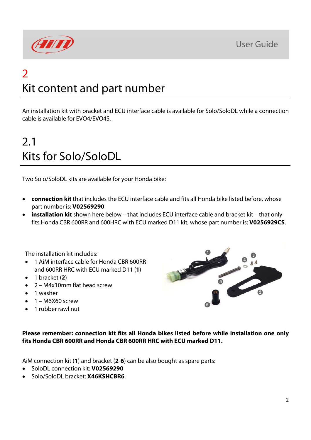

# $\overline{\mathcal{L}}$ Kit content and part number

An installation kit with bracket and ECU interface cable is available for Solo/SoloDL while a connection cable is available for EVO4/EVO4S.

# 2.1 Kits for Solo/SoloDL

Two Solo/SoloDL kits are available for your Honda bike:

- **connection kit** that includes the ECU interface cable and fits all Honda bike listed before, whose part number is: **V02569290**
- **installation kit** shown here below that includes ECU interface cable and bracket kit that only fits Honda CBR 600RR and 600HRC with ECU marked D11 kit, whose part number is: **V0256929CS**.

The installation kit includes:

- 1 AiM interface cable for Honda CBR 600RR and 600RR HRC with ECU marked D11 (**1**)
- $\bullet$  1 bracket (2)
- 2 M4x10mm flat head screw
- 1 washer
- $-1 M6X60$  screw
- 1 rubber rawl nut



**Please remember: connection kit fits all Honda bikes listed before while installation one only fits Honda CBR 600RR and Honda CBR 600RR HRC with ECU marked D11.** 

AiM connection kit (**1**) and bracket (**2**-**6**) can be also bought as spare parts:

- SoloDL connection kit: **V02569290**
- Solo/SoloDL bracket: **X46KSHCBR6**.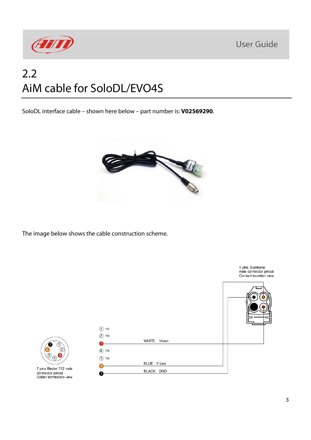

## 2.2 AiM cable for SoloDL/EVO4S

SoloDL interface cable – shown here below – part number is: **V02569290**.



The image below shows the cable construction scheme.

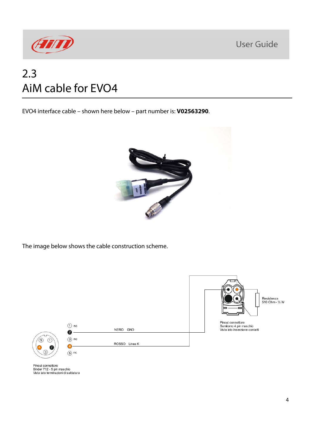

## 2.3 AiM cable for EVO4

EVO4 interface cable – shown here below – part number is: **V02563290**.



The image below shows the cable construction scheme.



Pinout connettore<br>Binder 712 - 5 pin maschio<br>Vista lato terminazioni di saldatura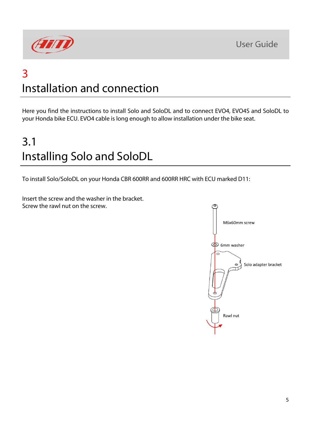

## 3 Installation and connection

Here you find the instructions to install Solo and SoloDL and to connect EVO4, EVO4S and SoloDL to your Honda bike ECU. EVO4 cable is long enough to allow installation under the bike seat.

# 3.1 Installing Solo and SoloDL

To install Solo/SoloDL on your Honda CBR 600RR and 600RR HRC with ECU marked D11:

Insert the screw and the washer in the bracket. Screw the rawl nut on the screw.

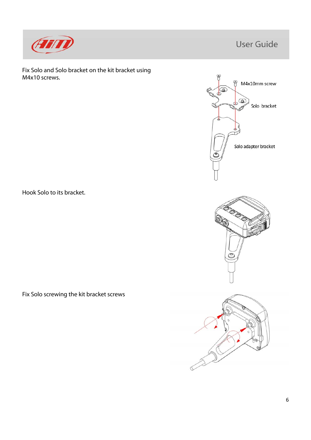

Fix Solo and Solo bracket on the kit bracket using M4x10 screws.

Hook Solo to its bracket.

Fix Solo screwing the kit bracket screws





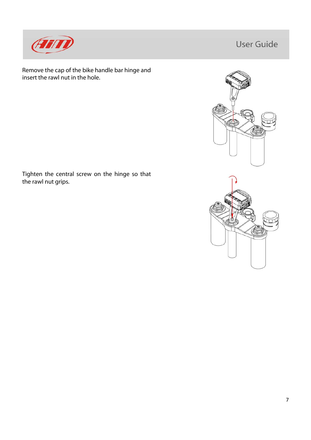

Remove the cap of the bike handle bar hinge and insert the rawl nut in the hole.



Tighten the central screw on the hinge so that the rawl nut grips.

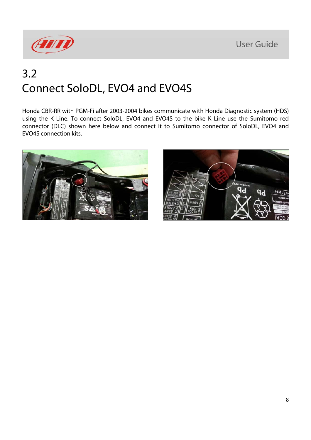

## 3.2 Connect SoloDL, EVO4 and EVO4S

Honda CBR-RR with PGM-Fi after 2003-2004 bikes communicate with Honda Diagnostic system (HDS) using the K Line. To connect SoloDL, EVO4 and EVO4S to the bike K Line use the Sumitomo red connector (DLC) shown here below and connect it to Sumitomo connector of SoloDL, EVO4 and EVO4S connection kits.



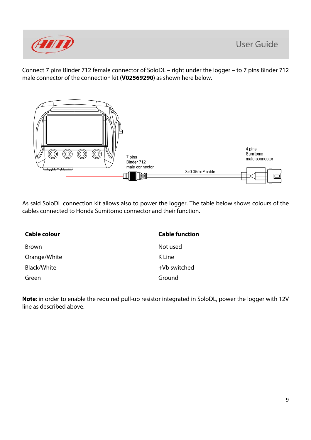

Connect 7 pins Binder 712 female connector of SoloDL – right under the logger – to 7 pins Binder 712 male connector of the connection kit (**V02569290**) as shown here below.



As said SoloDL connection kit allows also to power the logger. The table below shows colours of the cables connected to Honda Sumitomo connector and their function.

| Cable colour | <b>Cable function</b> |
|--------------|-----------------------|
| <b>Brown</b> | Not used              |
| Orange/White | K Line                |
| Black/White  | +Vb switched          |
| Green        | Ground                |

**Note**: in order to enable the required pull-up resistor integrated in SoloDL, power the logger with 12V line as described above.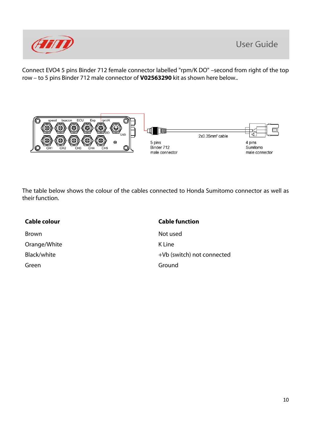

Connect EVO4 5 pins Binder 712 female connector labelled "rpm/K DO" –second from right of the top row – to 5 pins Binder 712 male connector of **V02563290** kit as shown here below..



The table below shows the colour of the cables connected to Honda Sumitomo connector as well as their function.

| Cable colour | <b>Cable function</b>      |
|--------------|----------------------------|
| Brown        | Not used                   |
| Orange/White | K Line                     |
| Black/white  | +Vb (switch) not connected |
| Green        | Ground                     |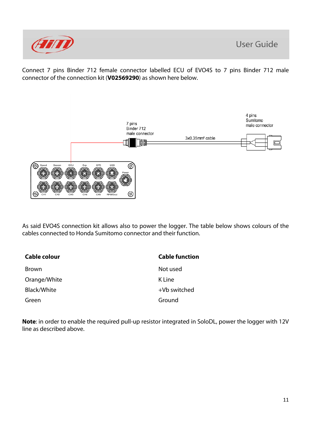

Connect 7 pins Binder 712 female connector labelled ECU of EVO4S to 7 pins Binder 712 male connector of the connection kit (**V02569290**) as shown here below.



As said EVO4S connection kit allows also to power the logger. The table below shows colours of the cables connected to Honda Sumitomo connector and their function.

| Cable colour | <b>Cable function</b> |
|--------------|-----------------------|
| Brown        | Not used              |
| Orange/White | K Line                |
| Black/White  | +Vb switched          |
| Green        | Ground                |

**Note**: in order to enable the required pull-up resistor integrated in SoloDL, power the logger with 12V line as described above.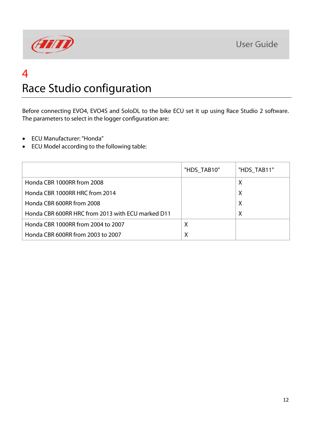

### 4 Race Studio configuration

Before connecting EVO4, EVO4S and SoloDL to the bike ECU set it up using Race Studio 2 software. The parameters to select in the logger configuration are:

- ECU Manufacturer: "Honda"
- ECU Model according to the following table:

|                                                   | "HDS_TAB10" | "HDS_TAB11" |
|---------------------------------------------------|-------------|-------------|
| Honda CBR 1000RR from 2008                        |             | Х           |
| Honda CBR 1000RR HRC from 2014                    |             | Х           |
| Honda CBR 600RR from 2008                         |             | X           |
| Honda CBR 600RR HRC from 2013 with ECU marked D11 |             | $\times$    |
| Honda CBR 1000RR from 2004 to 2007                | X           |             |
| Honda CBR 600RR from 2003 to 2007                 | X           |             |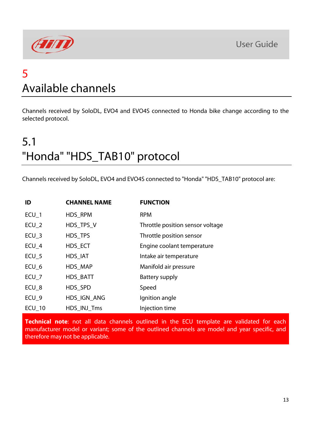

### 5 Available channels

Channels received by SoloDL, EVO4 and EVO4S connected to Honda bike change according to the selected protocol.

# 5.1 "Honda" "HDS\_TAB10" protocol

Channels received by SoloDL, EVO4 and EVO4S connected to "Honda" "HDS\_TAB10" protocol are:

| ID               | <b>CHANNEL NAME</b> | <b>FUNCTION</b>                  |
|------------------|---------------------|----------------------------------|
| ECU <sub>1</sub> | HDS RPM             | <b>RPM</b>                       |
| ECU <sub>2</sub> | HDS TPS V           | Throttle position sensor voltage |
| $ECU_3$          | HDS_TPS             | Throttle position sensor         |
| $ECU_4$          | HDS_ECT             | Engine coolant temperature       |
| $ECU_5$          | HDS_IAT             | Intake air temperature           |
| ECU <sub>6</sub> | HDS_MAP             | Manifold air pressure            |
| $ECU_7$          | HDS_BATT            | Battery supply                   |
| ECU <sub>8</sub> | HDS_SPD             | Speed                            |
| ECU <sub>9</sub> | HDS IGN ANG         | Ignition angle                   |
| <b>ECU 10</b>    | HDS INJ Tms         | Injection time                   |

**Technical note**: not all data channels outlined in the ECU template are validated for each manufacturer model or variant; some of the outlined channels are model and year specific, and therefore may not be applicable.